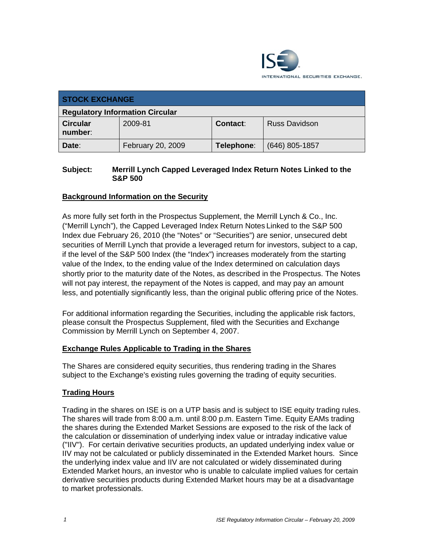

| <b>STOCK EXCHANGE</b>                  |                   |                 |                      |
|----------------------------------------|-------------------|-----------------|----------------------|
| <b>Regulatory Information Circular</b> |                   |                 |                      |
| <b>Circular</b><br>number:             | 2009-81           | <b>Contact:</b> | <b>Russ Davidson</b> |
| Date:                                  | February 20, 2009 | Telephone:      | $(646)$ 805-1857     |

#### **Subject: Merrill Lynch Capped Leveraged Index Return Notes Linked to the S&P 500**

### **Background Information on the Security**

As more fully set forth in the Prospectus Supplement, the Merrill Lynch & Co., Inc. ("Merrill Lynch"), the Capped Leveraged Index Return Notes Linked to the S&P 500 Index due February 26, 2010 (the "Notes" or "Securities") are senior, unsecured debt securities of Merrill Lynch that provide a leveraged return for investors, subject to a cap, if the level of the S&P 500 Index (the "Index") increases moderately from the starting value of the Index, to the ending value of the Index determined on calculation days shortly prior to the maturity date of the Notes, as described in the Prospectus. The Notes will not pay interest, the repayment of the Notes is capped, and may pay an amount less, and potentially significantly less, than the original public offering price of the Notes.

For additional information regarding the Securities, including the applicable risk factors, please consult the Prospectus Supplement, filed with the Securities and Exchange Commission by Merrill Lynch on September 4, 2007.

#### **Exchange Rules Applicable to Trading in the Shares**

The Shares are considered equity securities, thus rendering trading in the Shares subject to the Exchange's existing rules governing the trading of equity securities.

#### **Trading Hours**

Trading in the shares on ISE is on a UTP basis and is subject to ISE equity trading rules. The shares will trade from 8:00 a.m. until 8:00 p.m. Eastern Time. Equity EAMs trading the shares during the Extended Market Sessions are exposed to the risk of the lack of the calculation or dissemination of underlying index value or intraday indicative value ("IIV"). For certain derivative securities products, an updated underlying index value or IIV may not be calculated or publicly disseminated in the Extended Market hours. Since the underlying index value and IIV are not calculated or widely disseminated during Extended Market hours, an investor who is unable to calculate implied values for certain derivative securities products during Extended Market hours may be at a disadvantage to market professionals.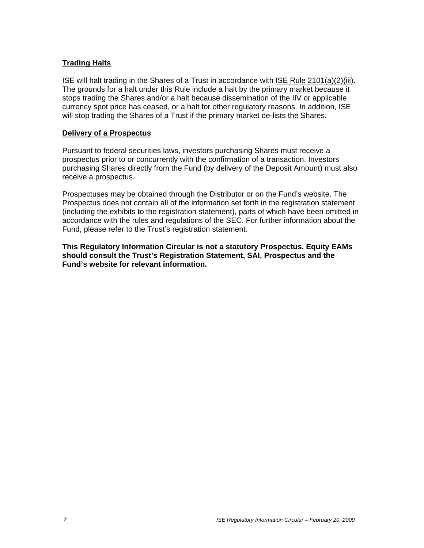#### **Trading Halts**

ISE will halt trading in the Shares of a Trust in accordance with ISE Rule 2101(a)(2)(iii). The grounds for a halt under this Rule include a halt by the primary market because it stops trading the Shares and/or a halt because dissemination of the IIV or applicable currency spot price has ceased, or a halt for other regulatory reasons. In addition, ISE will stop trading the Shares of a Trust if the primary market de-lists the Shares.

#### **Delivery of a Prospectus**

Pursuant to federal securities laws, investors purchasing Shares must receive a prospectus prior to or concurrently with the confirmation of a transaction. Investors purchasing Shares directly from the Fund (by delivery of the Deposit Amount) must also receive a prospectus.

Prospectuses may be obtained through the Distributor or on the Fund's website. The Prospectus does not contain all of the information set forth in the registration statement (including the exhibits to the registration statement), parts of which have been omitted in accordance with the rules and regulations of the SEC. For further information about the Fund, please refer to the Trust's registration statement.

**This Regulatory Information Circular is not a statutory Prospectus. Equity EAMs should consult the Trust's Registration Statement, SAI, Prospectus and the Fund's website for relevant information.**